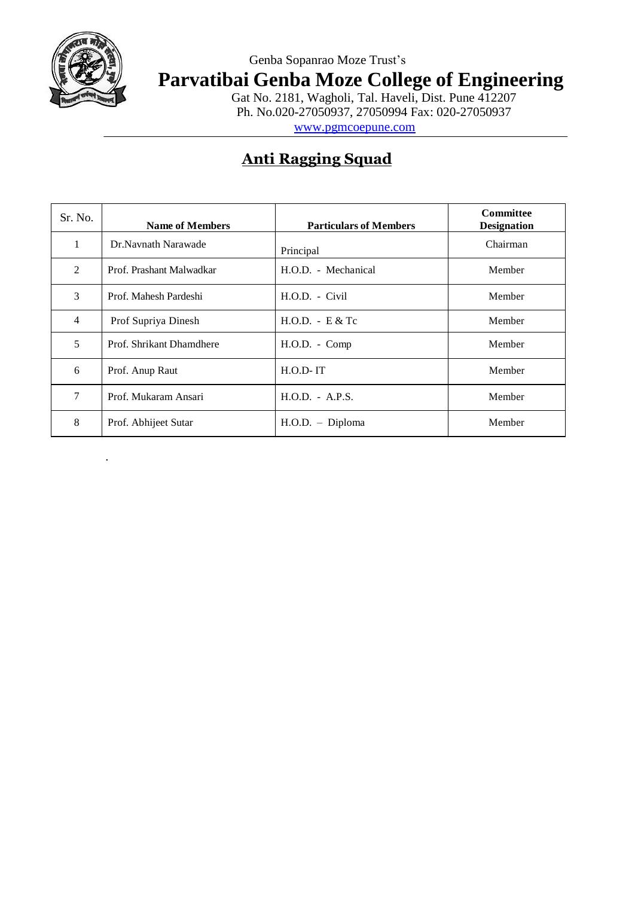

.

### Genba Sopanrao Moze Trust's **Parvatibai Genba Moze College of Engineering**

Gat No. 2181, Wagholi, Tal. Haveli, Dist. Pune 412207 Ph. No.020-27050937, 27050994 Fax: 020-27050937 [www.pgmcoepune.com](http://www.pgmcoepune.com/)

## **Anti Ragging Squad**

| Sr. No.        | <b>Name of Members</b>   | <b>Particulars of Members</b> | <b>Committee</b><br><b>Designation</b> |
|----------------|--------------------------|-------------------------------|----------------------------------------|
|                | Dr.Navnath Narawade      | Principal                     | Chairman                               |
| 2              | Prof. Prashant Malwadkar | H.O.D. - Mechanical           | Member                                 |
| 3              | Prof. Mahesh Pardeshi    | $H.O.D. - Civil$              | Member                                 |
| $\overline{4}$ | Prof Supriya Dinesh      | $H.O.D. - E & Tc$             | Member                                 |
| 5              | Prof. Shrikant Dhamdhere | $H.O.D. - Comp$               | Member                                 |
| 6              | Prof. Anup Raut          | $H.O.D$ -IT                   | Member                                 |
| 7              | Prof. Mukaram Ansari     | $H.O.D. - A.P.S.$             | Member                                 |
| 8              | Prof. Abhijeet Sutar     | $H.O.D.$ - Diploma            | Member                                 |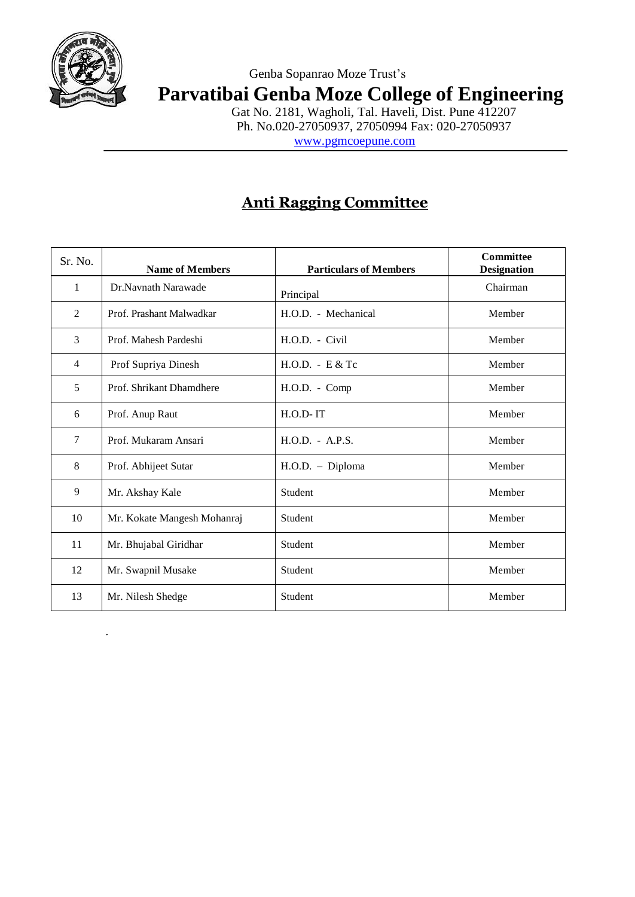

.

#### Genba Sopanrao Moze Trust's **Parvatibai Genba Moze College of Engineering**

Gat No. 2181, Wagholi, Tal. Haveli, Dist. Pune 412207 Ph. No.020-27050937, 27050994 Fax: 020-27050937

[www.pgmcoepune.com](http://www.pgmcoepune.com/)

# **Anti Ragging Committee**

| Sr. No.        | <b>Name of Members</b>      | <b>Particulars of Members</b> | Committee<br><b>Designation</b> |
|----------------|-----------------------------|-------------------------------|---------------------------------|
| $\mathbf{1}$   | Dr.Navnath Narawade         | Principal                     | Chairman                        |
| 2              | Prof. Prashant Malwadkar    | H.O.D. - Mechanical           | Member                          |
| 3              | Prof. Mahesh Pardeshi       | $H.O.D. - Civil$              | Member                          |
| $\overline{4}$ | Prof Supriya Dinesh         | $H.O.D. - E & Tc$             | Member                          |
| 5              | Prof. Shrikant Dhamdhere    | $H.O.D. - Comp$               | Member                          |
| 6              | Prof. Anup Raut             | H.O.D-IT                      | Member                          |
| 7              | Prof. Mukaram Ansari        | H.O.D. - A.P.S.               | Member                          |
| 8              | Prof. Abhijeet Sutar        | H.O.D. - Diploma              | Member                          |
| 9              | Mr. Akshay Kale             | Student                       | Member                          |
| 10             | Mr. Kokate Mangesh Mohanraj | Student                       | Member                          |
| 11             | Mr. Bhujabal Giridhar       | Student                       | Member                          |
| 12             | Mr. Swapnil Musake          | Student                       | Member                          |
| 13             | Mr. Nilesh Shedge           | Student                       | Member                          |